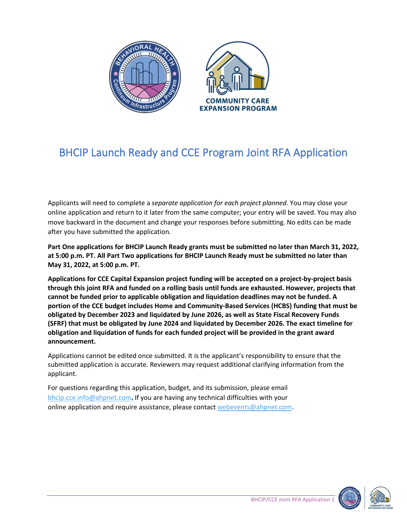

# BHCIP Launch Ready and CCE Program Joint RFA Application

Applicants will need to complete a *separate application for each project planned*. You may close your online application and return to it later from the same computer; your entry will be saved. You may also move backward in the document and change your responses before submitting. No edits can be made after you have submitted the application*.* 

**Part One applications for BHCIP Launch Ready grants must be submitted no later than March 31, 2022, at 5:00 p.m. PT. All Part Two applications for BHCIP Launch Ready must be submitted no later than May 31, 2022, at 5:00 p.m. PT.** 

**Applications for CCE Capital Expansion project funding will be accepted on a project-by-project basis through this joint RFA and funded on a rolling basis until funds are exhausted. However, projects that cannot be funded prior to applicable obligation and liquidation deadlines may not be funded. A portion of the CCE budget includes Home and Community-Based Services (HCBS) funding that must be obligated by December 2023 and liquidated by June 2026, as well as State Fiscal Recovery Funds (SFRF) that must be obligated by June 2024 and liquidated by December 2026. The exact timeline for obligation and liquidation of funds for each funded project will be provided in the grant award announcement.** 

Applications cannot be edited once submitted. It is the applicant's responsibility to ensure that the submitted application is accurate. Reviewers may request additional clarifying information from the applicant.

For questions regarding this application, budget, and its submission, please email <bhcip.cce.info@ahpnet.com>**.** If you are having any technical difficulties with your online application and require assistance, please contact [webevents@ahpnet.com](mailto:webevents@ahpnet.com).



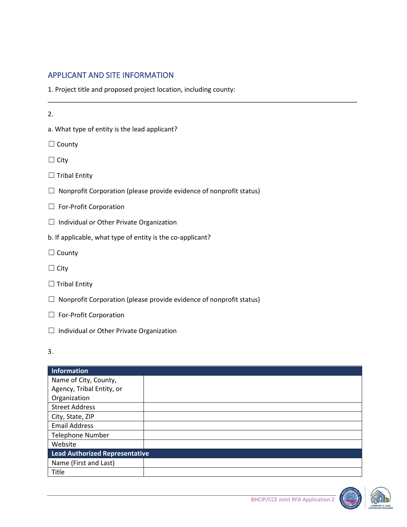## APPLICANT AND SITE INFORMATION

1. Project title and proposed project location, including county:

\_\_\_\_\_\_\_\_\_\_\_\_\_\_\_\_\_\_\_\_\_\_\_\_\_\_\_\_\_\_\_\_\_\_\_\_\_\_\_\_\_\_\_\_\_\_\_\_\_\_\_\_\_\_\_\_\_\_\_\_\_\_\_\_\_\_\_\_\_\_\_\_\_\_\_\_\_\_\_\_\_\_\_\_\_

2.

a. What type of entity is the lead applicant?

□ County

- ☐ City
- $\Box$  Tribal Entity
- $\Box$  Nonprofit Corporation (please provide evidence of nonprofit status)
- □ For-Profit Corporation
- ☐ Individual or Other Private Organization
- b. If applicable, what type of entity is the co-applicant?
- □ County
- ☐ City
- $\Box$  Tribal Entity
- $\Box$  Nonprofit Corporation (please provide evidence of nonprofit status)
- □ For-Profit Corporation
- ☐ Individual or Other Private Organization
- 3.

| Information                    |  |
|--------------------------------|--|
| Name of City, County,          |  |
| Agency, Tribal Entity, or      |  |
| Organization                   |  |
| <b>Street Address</b>          |  |
| City, State, ZIP               |  |
| <b>Email Address</b>           |  |
| <b>Telephone Number</b>        |  |
| Website                        |  |
| Lead Authorized Representative |  |
| Name (First and Last)          |  |
| Title                          |  |



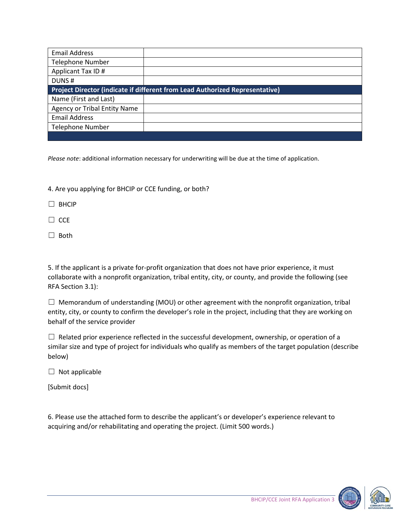| <b>Email Address</b>                                                         |  |
|------------------------------------------------------------------------------|--|
| <b>Telephone Number</b>                                                      |  |
| Applicant Tax ID#                                                            |  |
| DUNS#                                                                        |  |
| Project Director (indicate if different from Lead Authorized Representative) |  |
| Name (First and Last)                                                        |  |
| <b>Agency or Tribal Entity Name</b>                                          |  |
| <b>Email Address</b>                                                         |  |
| <b>Telephone Number</b>                                                      |  |
|                                                                              |  |

*Please note*: additional information necessary for underwriting will be due at the time of application.

4. Are you applying for BHCIP or CCE funding, or both?

☐ BHCIP

 $\Box$  CCE

☐ Both

5. If the applicant is a private for-profit organization that does not have prior experience, it must collaborate with a nonprofit organization, tribal entity, city, or county, and provide the following (see RFA Section 3.1):

 $\Box$  Memorandum of understanding (MOU) or other agreement with the nonprofit organization, tribal entity, city, or county to confirm the developer's role in the project, including that they are working on behalf of the service provider

 $\Box$  Related prior experience reflected in the successful development, ownership, or operation of a similar size and type of project for individuals who qualify as members of the target population (describe below)

 $\Box$  Not applicable

[Submit docs]

6. Please use the attached form to describe the applicant's or developer's experience relevant to acquiring and/or rehabilitating and operating the project. (Limit 500 words.)

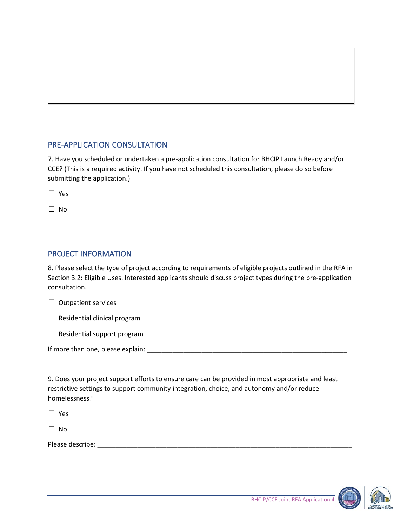## PRE-APPLICATION CONSULTATION

7. Have you scheduled or undertaken a pre-application consultation for BHCIP Launch Ready and/or CCE? (This is a required activity. If you have not scheduled this consultation, please do so before submitting the application.)

☐ Yes

☐ No

## PROJECT INFORMATION

8. Please select the type of project according to requirements of eligible projects outlined in the RFA in Section 3.2: Eligible Uses. Interested applicants should discuss project types during the pre-application consultation.

 $\Box$  Outpatient services

 $\Box$  Residential clinical program

 $\Box$  Residential support program

If more than one, please explain: \_\_\_\_\_\_\_\_\_\_\_\_\_\_\_\_\_\_\_\_\_\_\_\_\_\_\_\_\_\_\_\_\_\_\_\_\_\_\_\_\_\_\_\_\_\_\_\_\_\_\_\_\_\_\_

9. Does your project support efforts to ensure care can be provided in most appropriate and least restrictive settings to support community integration, choice, and autonomy and/or reduce homelessness?

☐ Yes

☐ No

Please describe: \_\_\_\_\_\_\_\_\_\_\_\_\_\_\_\_\_\_\_\_\_\_\_\_\_\_\_\_\_\_\_\_\_\_\_\_\_\_\_\_\_\_\_\_\_\_\_\_\_\_\_\_\_\_\_\_\_\_\_\_\_\_\_\_\_\_\_\_\_\_

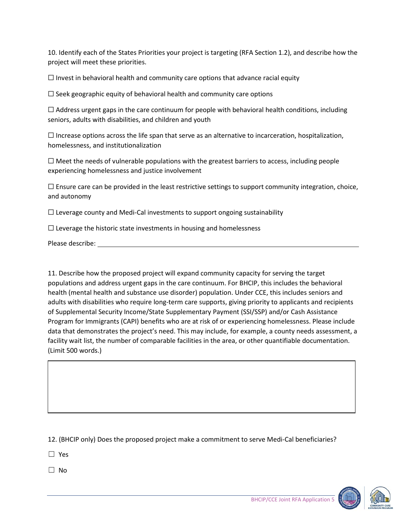10. Identify each of the States Priorities your project is targeting (RFA Section 1.2), and describe how the project will meet these priorities.

 $\Box$  Invest in behavioral health and community care options that advance racial equity

 $\Box$  Seek geographic equity of behavioral health and community care options

 $\Box$  Address urgent gaps in the care continuum for people with behavioral health conditions, including seniors, adults with disabilities, and children and youth

 $\Box$  Increase options across the life span that serve as an alternative to incarceration, hospitalization, homelessness, and institutionalization

 $\Box$  Meet the needs of vulnerable populations with the greatest barriers to access, including people experiencing homelessness and justice involvement

 $\Box$  Ensure care can be provided in the least restrictive settings to support community integration, choice, and autonomy

 $\Box$  Leverage county and Medi-Cal investments to support ongoing sustainability

 $\Box$  Leverage the historic state investments in housing and homelessness

Please describe:

11. Describe how the proposed project will expand community capacity for serving the target populations and address urgent gaps in the care continuum. For BHCIP, this includes the behavioral health (mental health and substance use disorder) population. Under CCE, this includes seniors and adults with disabilities who require long-term care supports, giving priority to applicants and recipients of Supplemental Security Income/State Supplementary Payment (SSI/SSP) and/or Cash Assistance Program for Immigrants (CAPI) benefits who are at risk of or experiencing homelessness. Please include data that demonstrates the project's need. This may include, for example, a county needs assessment, a facility wait list, the number of comparable facilities in the area, or other quantifiable documentation. (Limit 500 words.)

12. (BHCIP only) Does the proposed project make a commitment to serve Medi-Cal beneficiaries?

☐ Yes

☐ No

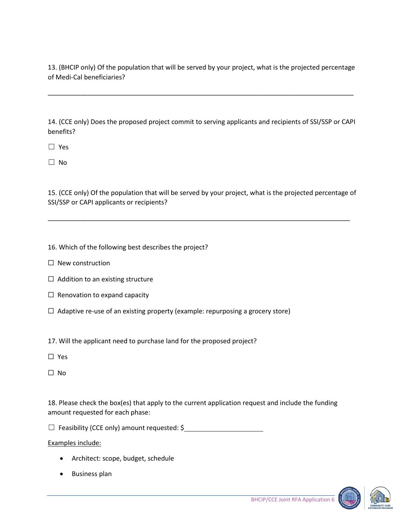13. (BHCIP only) Of the population that will be served by your project, what is the projected percentage of Medi-Cal beneficiaries?

\_\_\_\_\_\_\_\_\_\_\_\_\_\_\_\_\_\_\_\_\_\_\_\_\_\_\_\_\_\_\_\_\_\_\_\_\_\_\_\_\_\_\_\_\_\_\_\_\_\_\_\_\_\_\_\_\_\_\_\_\_\_\_\_\_\_\_\_\_\_\_\_\_\_\_\_\_\_\_\_\_\_\_\_

14. (CCE only) Does the proposed project commit to serving applicants and recipients of SSI/SSP or CAPI benefits?

☐ Yes

☐ No

15. (CCE only) Of the population that will be served by your project, what is the projected percentage of SSI/SSP or CAPI applicants or recipients?

\_\_\_\_\_\_\_\_\_\_\_\_\_\_\_\_\_\_\_\_\_\_\_\_\_\_\_\_\_\_\_\_\_\_\_\_\_\_\_\_\_\_\_\_\_\_\_\_\_\_\_\_\_\_\_\_\_\_\_\_\_\_\_\_\_\_\_\_\_\_\_\_\_\_\_\_\_\_\_\_\_\_\_

16. Which of the following best describes the project?

- ☐ New construction
- $\Box$  Addition to an existing structure
- $\Box$  Renovation to expand capacity
- ☐ Adaptive re-use of an existing property (example: repurposing a grocery store)

17. Will the applicant need to purchase land for the proposed project?

- ☐ Yes
- ☐ No

18. Please check the box(es) that apply to the current application request and include the funding amount requested for each phase:

□ Feasibility (CCE only) amount requested: \$

Examples include:

- Architect: scope, budget, schedule
- Business plan

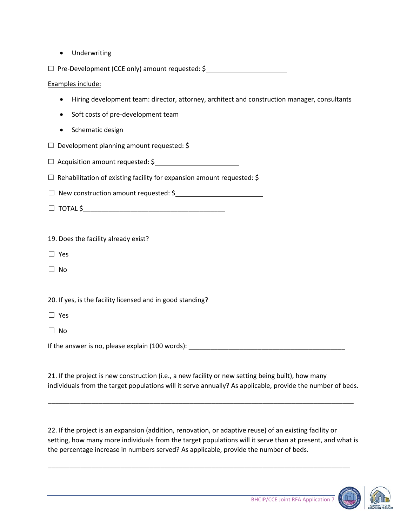• Underwriting

☐ Pre-Development (CCE only) amount requested: \$

Examples include:

- Hiring development team: director, attorney, architect and construction manager, consultants
- Soft costs of pre-development team
- Schematic design
- ☐ Development planning amount requested: \$
- $\Box$  Acquisition amount requested: \$

☐ Rehabilitation of existing facility for expansion amount requested: \$

□ New construction amount requested: \$

☐ TOTAL \$\_\_\_\_\_\_\_\_\_\_\_\_\_\_\_\_\_\_\_\_\_\_\_\_\_\_\_\_\_\_\_\_\_\_\_\_\_\_\_

19. Does the facility already exist?

- ☐ Yes
- ☐ No

20. If yes, is the facility licensed and in good standing?

☐ Yes

 $\Box$  No

If the answer is no, please explain (100 words): \_\_\_\_\_\_\_\_\_\_\_\_\_\_\_\_\_\_\_\_\_\_\_\_\_\_\_\_\_\_\_\_

21. If the project is new construction (i.e., a new facility or new setting being built), how many individuals from the target populations will it serve annually? As applicable, provide the number of beds.

\_\_\_\_\_\_\_\_\_\_\_\_\_\_\_\_\_\_\_\_\_\_\_\_\_\_\_\_\_\_\_\_\_\_\_\_\_\_\_\_\_\_\_\_\_\_\_\_\_\_\_\_\_\_\_\_\_\_\_\_\_\_\_\_\_\_\_\_\_\_\_\_\_\_\_\_\_\_\_\_\_\_\_\_

22. If the project is an expansion (addition, renovation, or adaptive reuse) of an existing facility or setting, how many more individuals from the target populations will it serve than at present, and what is the percentage increase in numbers served? As applicable, provide the number of beds.

\_\_\_\_\_\_\_\_\_\_\_\_\_\_\_\_\_\_\_\_\_\_\_\_\_\_\_\_\_\_\_\_\_\_\_\_\_\_\_\_\_\_\_\_\_\_\_\_\_\_\_\_\_\_\_\_\_\_\_\_\_\_\_\_\_\_\_\_\_\_\_\_\_\_\_\_\_\_\_\_\_\_\_

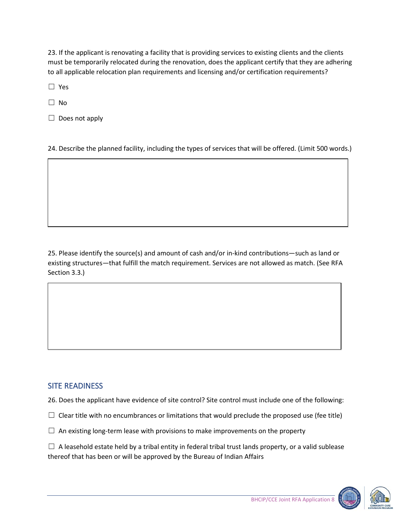23. If the applicant is renovating a facility that is providing services to existing clients and the clients must be temporarily relocated during the renovation, does the applicant certify that they are adhering to all applicable relocation plan requirements and licensing and/or certification requirements?

☐ Yes

☐ No

□ Does not apply

24. Describe the planned facility, including the types of services that will be offered. (Limit 500 words.)

25. Please identify the source(s) and amount of cash and/or in-kind contributions—such as land or existing structures—that fulfill the match requirement. Services are not allowed as match. (See RFA Section 3.3.)

#### SITE READINESS

- 26. Does the applicant have evidence of site control? Site control must include one of the following:
- $\Box$  Clear title with no encumbrances or limitations that would preclude the proposed use (fee title)
- $\Box$  An existing long-term lease with provisions to make improvements on the property

 $\Box$  A leasehold estate held by a tribal entity in federal tribal trust lands property, or a valid sublease thereof that has been or will be approved by the Bureau of Indian Affairs



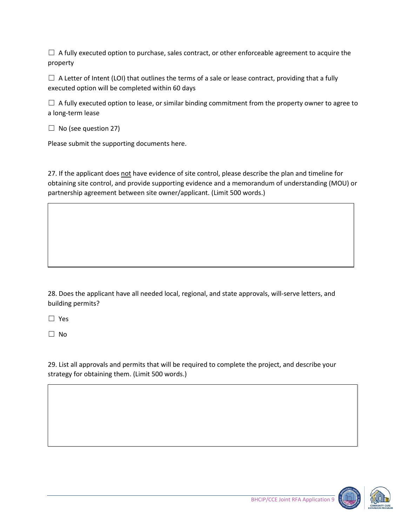$\Box$  A fully executed option to purchase, sales contract, or other enforceable agreement to acquire the property

 $\Box$  A Letter of Intent (LOI) that outlines the terms of a sale or lease contract, providing that a fully executed option will be completed within 60 days

 $\Box$  A fully executed option to lease, or similar binding commitment from the property owner to agree to a long-term lease

 $\Box$  No (see question 27)

Please submit the supporting documents here.

27. If the applicant does not have evidence of site control, please describe the plan and timeline for obtaining site control, and provide supporting evidence and a memorandum of understanding (MOU) or partnership agreement between site owner/applicant. (Limit 500 words.)

28. Does the applicant have all needed local, regional, and state approvals, will-serve letters, and building permits?

☐ Yes

☐ No

29. List all approvals and permits that will be required to complete the project, and describe your strategy for obtaining them. (Limit 500 words.)

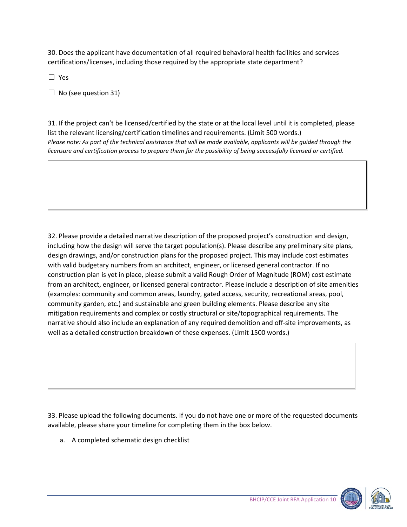30. Does the applicant have documentation of all required behavioral health facilities and services certifications/licenses, including those required by the appropriate state department?

☐ Yes

 $\Box$  No (see question 31)

31. If the project can't be licensed/certified by the state or at the local level until it is completed, please list the relevant licensing/certification timelines and requirements. (Limit 500 words.) *Please note: As part of the technical assistance that will be made available, applicants will be guided through the licensure and certification process to prepare them for the possibility of being successfully licensed or certified.*

32. Please provide a detailed narrative description of the proposed project's construction and design, including how the design will serve the target population(s). Please describe any preliminary site plans, design drawings, and/or construction plans for the proposed project. This may include cost estimates with valid budgetary numbers from an architect, engineer, or licensed general contractor. If no construction plan is yet in place, please submit a valid Rough Order of Magnitude (ROM) cost estimate from an architect, engineer, or licensed general contractor. Please include a description of site amenities (examples: community and common areas, laundry, gated access, security, recreational areas, pool, community garden, etc.) and sustainable and green building elements. Please describe any site mitigation requirements and complex or costly structural or site/topographical requirements. The narrative should also include an explanation of any required demolition and off-site improvements, as well as a detailed construction breakdown of these expenses. (Limit 1500 words.)

33. Please upload the following documents. If you do not have one or more of the requested documents available, please share your timeline for completing them in the box below.

a. A completed schematic design checklist



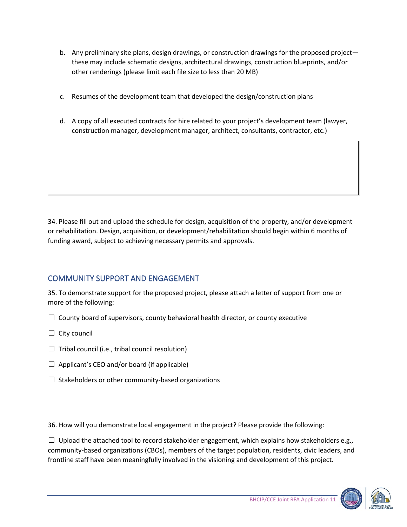- b. Any preliminary site plans, design drawings, or construction drawings for the proposed project these may include schematic designs, architectural drawings, construction blueprints, and/or other renderings (please limit each file size to less than 20 MB)
- c. Resumes of the development team that developed the design/construction plans
- d. A copy of all executed contracts for hire related to your project's development team (lawyer, construction manager, development manager, architect, consultants, contractor, etc.)

34. Please fill out and upload the schedule for design, acquisition of the property, and/or development or rehabilitation. Design, acquisition, or development/rehabilitation should begin within 6 months of funding award, subject to achieving necessary permits and approvals.

# COMMUNITY SUPPORT AND ENGAGEMENT

35. To demonstrate support for the proposed project, please attach a letter of support from one or more of the following:

- $\Box$  County board of supervisors, county behavioral health director, or county executive
- $\Box$  City council
- $\Box$  Tribal council (i.e., tribal council resolution)
- $\Box$  Applicant's CEO and/or board (if applicable)
- $\Box$  Stakeholders or other community-based organizations

36. How will you demonstrate local engagement in the project? Please provide the following:

 $\Box$  Upload the attached tool to record stakeholder engagement, which explains how stakeholders e.g., community-based organizations (CBOs), members of the target population, residents, civic leaders, and frontline staff have been meaningfully involved in the visioning and development of this project.



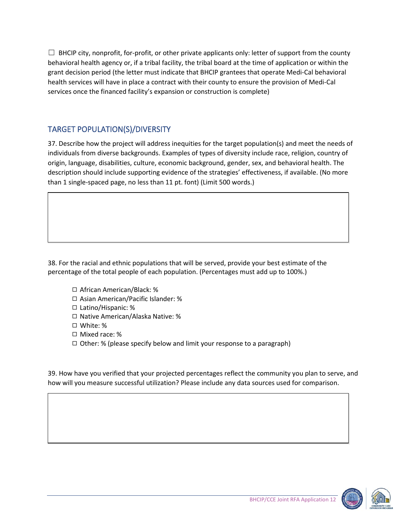$\Box$  BHCIP city, nonprofit, for-profit, or other private applicants only: letter of support from the county behavioral health agency or, if a tribal facility, the tribal board at the time of application or within the grant decision period (the letter must indicate that BHCIP grantees that operate Medi-Cal behavioral health services will have in place a contract with their county to ensure the provision of Medi-Cal services once the financed facility's expansion or construction is complete)

## TARGET POPULATION(S)/DIVERSITY

37. Describe how the project will address inequities for the target population(s) and meet the needs of individuals from diverse backgrounds. Examples of types of diversity include race, religion, country of origin, language, disabilities, culture, economic background, gender, sex, and behavioral health. The description should include supporting evidence of the strategies' effectiveness, if available. (No more than 1 single-spaced page, no less than 11 pt. font) (Limit 500 words.)

38. For the racial and ethnic populations that will be served, provide your best estimate of the percentage of the total people of each population. (Percentages must add up to 100%.)

- ◻ African American/Black: %
- ◻ Asian American/Pacific Islander: %
- ◻ Latino/Hispanic: %
- ◻ Native American/Alaska Native: %
- ◻ White: %
- ◻ Mixed race: %
- $\Box$  Other: % (please specify below and limit your response to a paragraph)

39. How have you verified that your projected percentages reflect the community you plan to serve, and how will you measure successful utilization? Please include any data sources used for comparison.